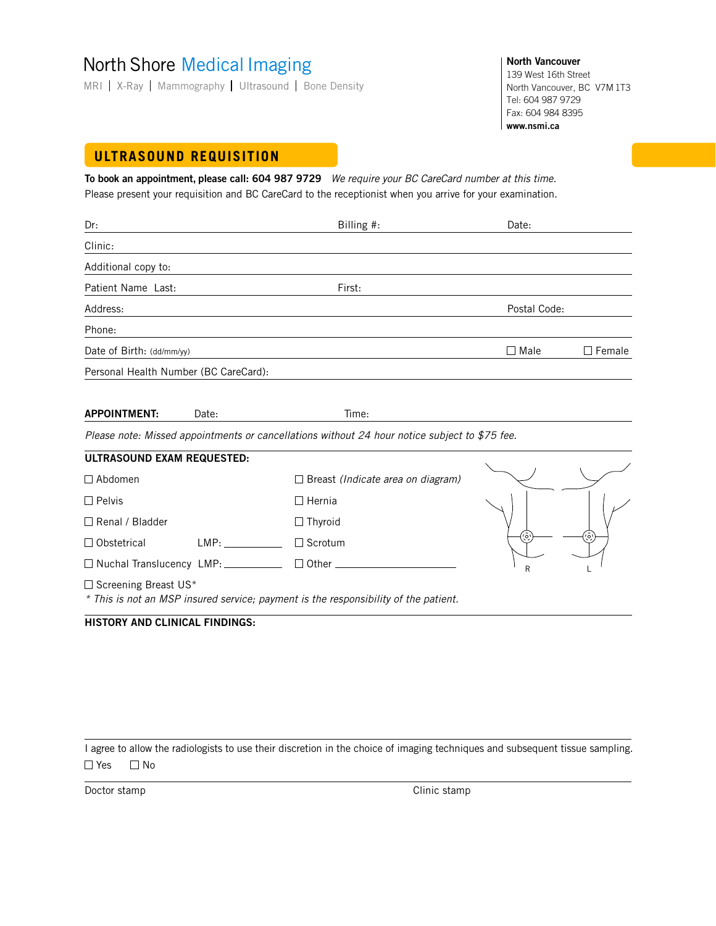# North Shore Medical Imaging

MRI | X-Ray | Mammography | Ultrasound | Bone Density

**North Vancouver** 139 West 16th Street North Vancouver, BC V7M 1T3 Tel: 604 987 9729 Fax: 604 984 8395 **www.nsmi.ca**

R L

# **ULTRASOUND REQUISITION**

**To book an appointment, please call: 604 987 9729** We require your BC CareCard number at this time. Please present your requisition and BC CareCard to the receptionist when you arrive for your examination.

| Dr:                                   |       | Billing #:                                                                                    | Date:          |               |
|---------------------------------------|-------|-----------------------------------------------------------------------------------------------|----------------|---------------|
| Clinic:                               |       |                                                                                               |                |               |
| Additional copy to:                   |       |                                                                                               |                |               |
| Patient Name Last:                    |       | First:                                                                                        |                |               |
| Address:                              |       |                                                                                               | Postal Code:   |               |
| Phone:                                |       |                                                                                               |                |               |
| Date of Birth: (dd/mm/yy)             |       |                                                                                               | $\square$ Male | $\Box$ Female |
| Personal Health Number (BC CareCard): |       |                                                                                               |                |               |
| <b>APPOINTMENT:</b>                   | Date: | Time:                                                                                         |                |               |
|                                       |       | Please note: Missed appointments or cancellations without 24 hour notice subject to \$75 fee. |                |               |
| ULTRASOUND EXAM REQUESTED:            |       |                                                                                               |                |               |
| $\Box$ Abdomen                        |       | $\Box$ Breast (Indicate area on diagram)                                                      |                |               |
| $\Box$ Pelvis                         |       | $\Box$ Hernia                                                                                 |                |               |
| □ Renal / Bladder                     |       | $\Box$ Thyroid                                                                                |                |               |

 $\square$  Screening Breast US\*

\* This is not an MSP insured service; payment is the responsibility of the patient.

### **HISTORY AND CLINICAL FINDINGS:**

□ Obstetrical LMP: Under Scrotum □ Nuchal Translucency LMP: <u>Contact</u> Dumber

I agree to allow the radiologists to use their discretion in the choice of imaging techniques and subsequent tissue sampling.  $\Box$  Yes  $\Box$  No

Doctor stamp Clinic stamp